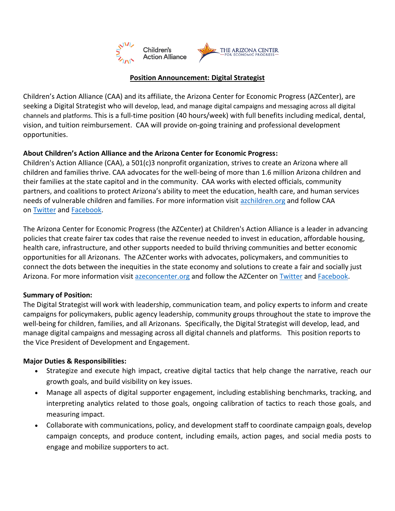

#### **Position Announcement: Digital Strategist**

Children's Action Alliance (CAA) and its affiliate, the Arizona Center for Economic Progress (AZCenter), are seeking a Digital Strategist who will develop, lead, and manage digital campaigns and messaging across all digital channels and platforms. This is a full-time position (40 hours/week) with full benefits including medical, dental, vision, and tuition reimbursement. CAA will provide on-going training and professional development opportunities.

## **About Children's Action Alliance and the Arizona Center for Economic Progress:**

Children's Action Alliance (CAA), a 501(c)3 nonprofit organization, strives to create an Arizona where all children and families thrive. CAA advocates for the well-being of more than 1.6 million Arizona children and their families at the state capitol and in the community. CAA works with elected officials, community partners, and coalitions to protect Arizona's ability to meet the education, health care, and human services needs of vulnerable children and families. For more information visit [azchildren.org](http://www.azchildren.org/) and follow CAA on [Twitter](https://twitter.com/CAA_Arizona) and [Facebook.](https://www.facebook.com/azchildren/)

The Arizona Center for Economic Progress (the AZCenter) at Children's Action Alliance is a leader in advancing policies that create fairer tax codes that raise the revenue needed to invest in education, affordable housing, health care, infrastructure, and other supports needed to build thriving communities and better economic opportunities for all Arizonans. The AZCenter works with advocates, policymakers, and communities to connect the dots between the inequities in the state economy and solutions to create a fair and socially just Arizona. For more information visit [azeconcenter.org](https://azeconcenter.org/) and follow the AZCenter on [Twitter](https://twitter.com/azeconcenter) and [Facebook.](https://www.facebook.com/AZEconCenter/)

#### **Summary of Position:**

The Digital Strategist will work with leadership, communication team, and policy experts to inform and create campaigns for policymakers, public agency leadership, community groups throughout the state to improve the well-being for children, families, and all Arizonans. Specifically, the Digital Strategist will develop, lead, and manage digital campaigns and messaging across all digital channels and platforms. This position reports to the Vice President of Development and Engagement.

## **Major Duties & Responsibilities:**

- Strategize and execute high impact, creative digital tactics that help change the narrative, reach our growth goals, and build visibility on key issues.
- Manage all aspects of digital supporter engagement, including establishing benchmarks, tracking, and interpreting analytics related to those goals, ongoing calibration of tactics to reach those goals, and measuring impact.
- Collaborate with communications, policy, and development staff to coordinate campaign goals, develop campaign concepts, and produce content, including emails, action pages, and social media posts to engage and mobilize supporters to act.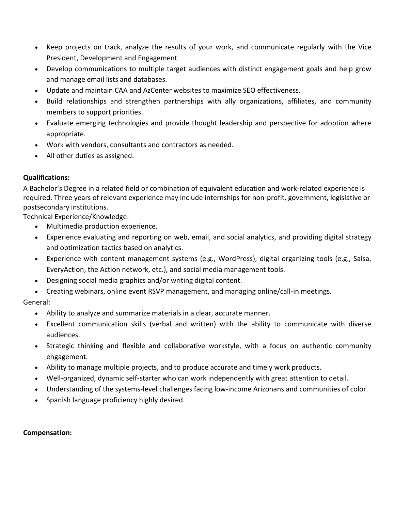- Keep projects on track, analyze the results of your work, and communicate regularly with the Vice President, Development and Engagement
- Develop communications to multiple target audiences with distinct engagement goals and help grow and manage email lists and databases.
- Update and maintain CAA and AzCenter websites to maximize SEO effectiveness.
- Build relationships and strengthen partnerships with ally organizations, affiliates, and community members to support priorities.
- Evaluate emerging technologies and provide thought leadership and perspective for adoption where appropriate.
- Work with vendors, consultants and contractors as needed.
- All other duties as assigned.

## **Qualifications:**

A Bachelor's Degree in a related field or combination of equivalent education and work-related experience is required. Three years of relevant experience may include internships for non-profit, government, legislative or postsecondary institutions.

Technical Experience/Knowledge:

- Multimedia production experience.
- Experience evaluating and reporting on web, email, and social analytics, and providing digital strategy and optimization tactics based on analytics.
- Experience with content management systems (e.g., WordPress), digital organizing tools (e.g., Salsa, EveryAction, the Action network, etc.), and social media management tools.
- Designing social media graphics and/or writing digital content.
- Creating webinars, online event RSVP management, and managing online/call-in meetings.

General:

- Ability to analyze and summarize materials in a clear, accurate manner.
- Excellent communication skills (verbal and written) with the ability to communicate with diverse audiences.
- Strategic thinking and flexible and collaborative workstyle, with a focus on authentic community engagement.
- Ability to manage multiple projects, and to produce accurate and timely work products.
- Well-organized, dynamic self-starter who can work independently with great attention to detail.
- Understanding of the systems-level challenges facing low-income Arizonans and communities of color.
- Spanish language proficiency highly desired.

## **Compensation:**